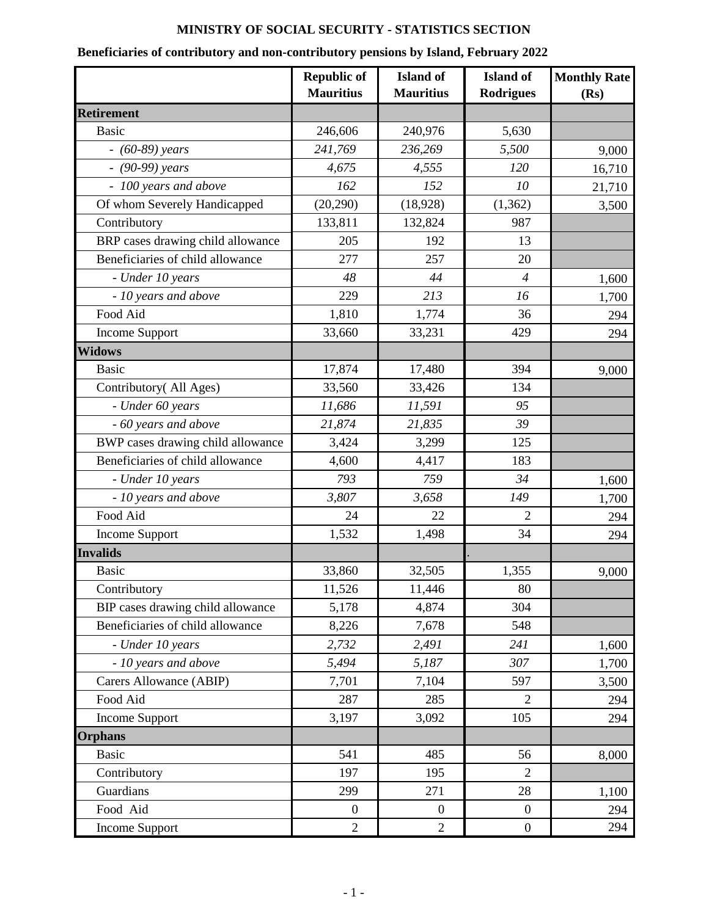## **MINISTRY OF SOCIAL SECURITY - STATISTICS SECTION**

## **Beneficiaries of contributory and non-contributory pensions by Island, February 2022**

|                                   | <b>Republic of</b><br><b>Mauritius</b> | <b>Island</b> of<br><b>Mauritius</b> | <b>Island</b> of<br><b>Rodrigues</b> | <b>Monthly Rate</b><br>(Rs) |
|-----------------------------------|----------------------------------------|--------------------------------------|--------------------------------------|-----------------------------|
| <b>Retirement</b>                 |                                        |                                      |                                      |                             |
| <b>Basic</b>                      | 246,606                                | 240,976                              | 5,630                                |                             |
| $- (60-89)$ years                 | 241,769                                | 236,269                              | 5,500                                | 9,000                       |
| $-$ (90-99) years                 | 4,675                                  | 4,555                                | 120                                  | 16,710                      |
| - 100 years and above             | 162                                    | 152                                  | 10                                   | 21,710                      |
| Of whom Severely Handicapped      | (20, 290)                              | (18, 928)                            | (1, 362)                             | 3,500                       |
| Contributory                      | 133,811                                | 132,824                              | 987                                  |                             |
| BRP cases drawing child allowance | 205                                    | 192                                  | 13                                   |                             |
| Beneficiaries of child allowance  | 277                                    | 257                                  | 20                                   |                             |
| - Under 10 years                  | 48                                     | 44                                   | $\overline{4}$                       | 1,600                       |
| - 10 years and above              | 229                                    | 213                                  | 16                                   | 1,700                       |
| Food Aid                          | 1,810                                  | 1,774                                | 36                                   | 294                         |
| Income Support                    | 33,660                                 | 33,231                               | 429                                  | 294                         |
| <b>Widows</b>                     |                                        |                                      |                                      |                             |
| <b>Basic</b>                      | 17,874                                 | 17,480                               | 394                                  | 9,000                       |
| Contributory(All Ages)            | 33,560                                 | 33,426                               | 134                                  |                             |
| - Under 60 years                  | 11,686                                 | 11,591                               | 95                                   |                             |
| - 60 years and above              | 21,874                                 | 21,835                               | 39                                   |                             |
| BWP cases drawing child allowance | 3,424                                  | 3,299                                | 125                                  |                             |
| Beneficiaries of child allowance  | 4,600                                  | 4,417                                | 183                                  |                             |
| - Under 10 years                  | 793                                    | 759                                  | 34                                   | 1,600                       |
| - 10 years and above              | 3,807                                  | 3,658                                | 149                                  | 1,700                       |
| Food Aid                          | 24                                     | 22                                   | 2                                    | 294                         |
| <b>Income Support</b>             | 1,532                                  | 1,498                                | 34                                   | 294                         |
| <b>Invalids</b>                   |                                        |                                      |                                      |                             |
| <b>Basic</b>                      | 33,860                                 | 32,505                               | 1,355                                | 9,000                       |
| Contributory                      | 11,526                                 | 11,446                               | 80                                   |                             |
| BIP cases drawing child allowance | 5,178                                  | 4,874                                | 304                                  |                             |
| Beneficiaries of child allowance  | 8,226                                  | 7,678                                | 548                                  |                             |
| - Under 10 years                  | 2,732                                  | 2,491                                | 241                                  | 1,600                       |
| - 10 years and above              | 5,494                                  | 5,187                                | 307                                  | 1,700                       |
| Carers Allowance (ABIP)           | 7,701                                  | 7,104                                | 597                                  | 3,500                       |
| Food Aid                          | 287                                    | 285                                  | $\overline{2}$                       | 294                         |
| Income Support                    | 3,197                                  | 3,092                                | 105                                  | 294                         |
| <b>Orphans</b>                    |                                        |                                      |                                      |                             |
| <b>Basic</b>                      | 541                                    | 485                                  | 56                                   | 8,000                       |
| Contributory                      | 197                                    | 195                                  | $\overline{2}$                       |                             |
| Guardians                         | 299                                    | 271                                  | 28                                   | 1,100                       |
| Food Aid                          | $\overline{0}$                         | $\boldsymbol{0}$                     | $\boldsymbol{0}$                     | 294                         |
| Income Support                    | $\overline{2}$                         | $\overline{2}$                       | $\boldsymbol{0}$                     | 294                         |